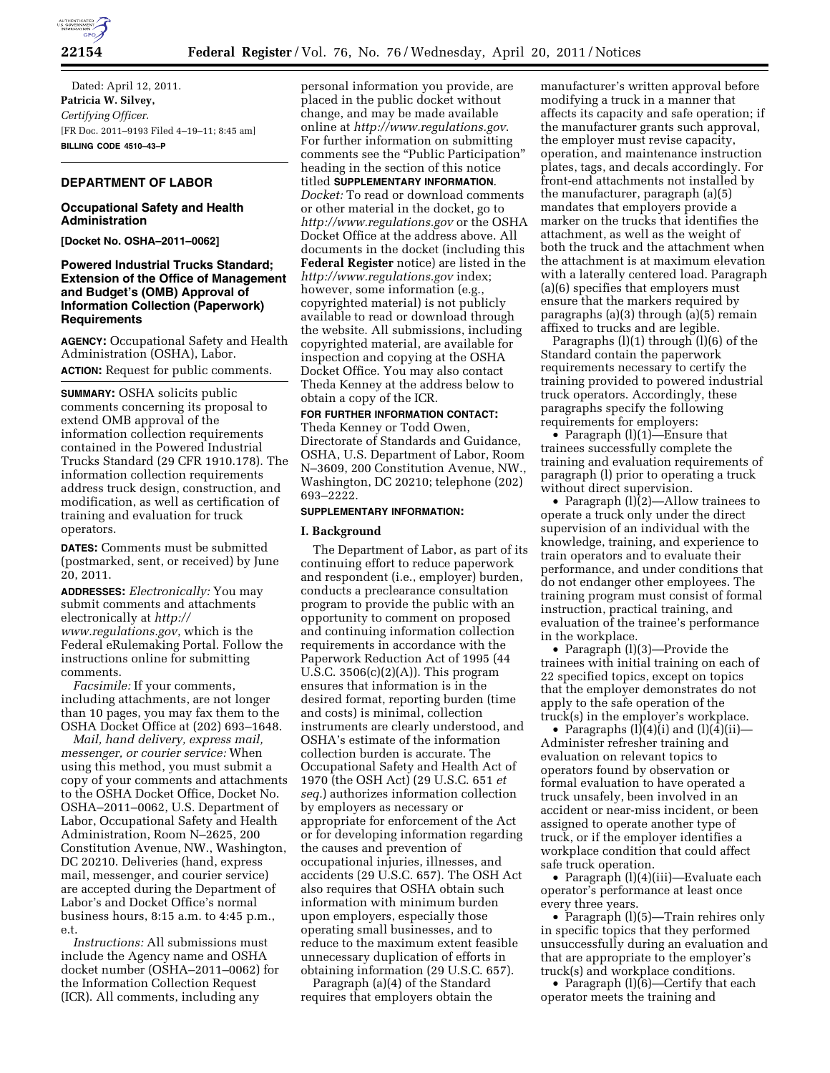

Dated: April 12, 2011. **Patricia W. Silvey,**  *Certifying Officer.*  [FR Doc. 2011–9193 Filed 4–19–11; 8:45 am] **BILLING CODE 4510–43–P** 

# **DEPARTMENT OF LABOR**

# **Occupational Safety and Health Administration**

**[Docket No. OSHA–2011–0062]** 

## **Powered Industrial Trucks Standard; Extension of the Office of Management and Budget's (OMB) Approval of Information Collection (Paperwork) Requirements**

**AGENCY:** Occupational Safety and Health Administration (OSHA), Labor. **ACTION:** Request for public comments.

**SUMMARY:** OSHA solicits public comments concerning its proposal to extend OMB approval of the information collection requirements contained in the Powered Industrial Trucks Standard (29 CFR 1910.178). The information collection requirements address truck design, construction, and modification, as well as certification of training and evaluation for truck operators.

**DATES:** Comments must be submitted (postmarked, sent, or received) by June 20, 2011.

**ADDRESSES:** *Electronically:* You may submit comments and attachments electronically at *[http://](http://www.regulations.gov) [www.regulations.gov](http://www.regulations.gov)*, which is the Federal eRulemaking Portal. Follow the instructions online for submitting comments.

*Facsimile:* If your comments, including attachments, are not longer than 10 pages, you may fax them to the OSHA Docket Office at (202) 693–1648.

*Mail, hand delivery, express mail, messenger, or courier service:* When using this method, you must submit a copy of your comments and attachments to the OSHA Docket Office, Docket No. OSHA–2011–0062, U.S. Department of Labor, Occupational Safety and Health Administration, Room N–2625, 200 Constitution Avenue, NW., Washington, DC 20210. Deliveries (hand, express mail, messenger, and courier service) are accepted during the Department of Labor's and Docket Office's normal business hours, 8:15 a.m. to 4:45 p.m., e.t.

*Instructions:* All submissions must include the Agency name and OSHA docket number (OSHA–2011–0062) for the Information Collection Request (ICR). All comments, including any

personal information you provide, are placed in the public docket without change, and may be made available online at *<http://www.regulations.gov>*. For further information on submitting comments see the "Public Participation" heading in the section of this notice titled **SUPPLEMENTARY INFORMATION**. *Docket:* To read or download comments or other material in the docket, go to *<http://www.regulations.gov>* or the OSHA Docket Office at the address above. All documents in the docket (including this **Federal Register** notice) are listed in the *<http://www.regulations.gov>* index; however, some information (e.g., copyrighted material) is not publicly available to read or download through the website. All submissions, including copyrighted material, are available for inspection and copying at the OSHA Docket Office. You may also contact Theda Kenney at the address below to obtain a copy of the ICR.

#### **FOR FURTHER INFORMATION CONTACT:**

Theda Kenney or Todd Owen, Directorate of Standards and Guidance, OSHA, U.S. Department of Labor, Room N–3609, 200 Constitution Avenue, NW., Washington, DC 20210; telephone (202) 693–2222.

#### **SUPPLEMENTARY INFORMATION:**

## **I. Background**

The Department of Labor, as part of its continuing effort to reduce paperwork and respondent (i.e., employer) burden, conducts a preclearance consultation program to provide the public with an opportunity to comment on proposed and continuing information collection requirements in accordance with the Paperwork Reduction Act of 1995 (44 U.S.C. 3506(c)(2)(A)). This program ensures that information is in the desired format, reporting burden (time and costs) is minimal, collection instruments are clearly understood, and OSHA's estimate of the information collection burden is accurate. The Occupational Safety and Health Act of 1970 (the OSH Act) (29 U.S.C. 651 *et seq.*) authorizes information collection by employers as necessary or appropriate for enforcement of the Act or for developing information regarding the causes and prevention of occupational injuries, illnesses, and accidents (29 U.S.C. 657). The OSH Act also requires that OSHA obtain such information with minimum burden upon employers, especially those operating small businesses, and to reduce to the maximum extent feasible unnecessary duplication of efforts in obtaining information (29 U.S.C. 657).

Paragraph (a)(4) of the Standard requires that employers obtain the

manufacturer's written approval before modifying a truck in a manner that affects its capacity and safe operation; if the manufacturer grants such approval, the employer must revise capacity, operation, and maintenance instruction plates, tags, and decals accordingly. For front-end attachments not installed by the manufacturer, paragraph (a)(5) mandates that employers provide a marker on the trucks that identifies the attachment, as well as the weight of both the truck and the attachment when the attachment is at maximum elevation with a laterally centered load. Paragraph (a)(6) specifies that employers must ensure that the markers required by paragraphs (a)(3) through (a)(5) remain affixed to trucks and are legible.

Paragraphs  $(l)(1)$  through  $(l)(6)$  of the Standard contain the paperwork requirements necessary to certify the training provided to powered industrial truck operators. Accordingly, these paragraphs specify the following requirements for employers:

• Paragraph (l)(1)—Ensure that trainees successfully complete the training and evaluation requirements of paragraph (l) prior to operating a truck without direct supervision.

• Paragraph (l)(2)—Allow trainees to operate a truck only under the direct supervision of an individual with the knowledge, training, and experience to train operators and to evaluate their performance, and under conditions that do not endanger other employees. The training program must consist of formal instruction, practical training, and evaluation of the trainee's performance in the workplace.

• Paragraph (l)(3)—Provide the trainees with initial training on each of 22 specified topics, except on topics that the employer demonstrates do not apply to the safe operation of the truck(s) in the employer's workplace.

• Paragraphs  $(l)(4)(i)$  and  $(l)(4)(ii)$ — Administer refresher training and evaluation on relevant topics to operators found by observation or formal evaluation to have operated a truck unsafely, been involved in an accident or near-miss incident, or been assigned to operate another type of truck, or if the employer identifies a workplace condition that could affect safe truck operation.

• Paragraph (l)(4)(iii)—Evaluate each operator's performance at least once every three years.

• Paragraph (l)(5)—Train rehires only in specific topics that they performed unsuccessfully during an evaluation and that are appropriate to the employer's truck(s) and workplace conditions.

• Paragraph (1)(6)—Certify that each operator meets the training and